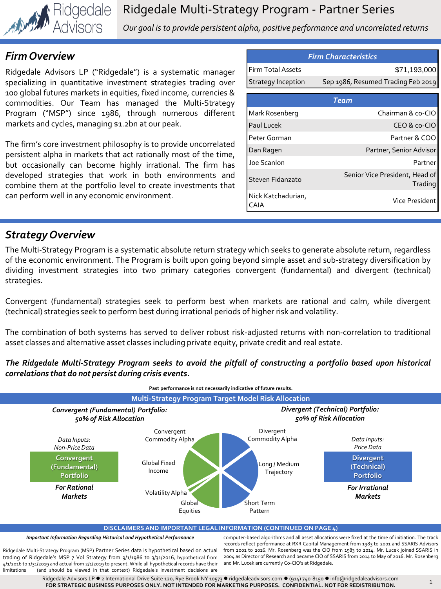

Ridgedale Multi-Strategy Program - Partner Series

*Our goal is to provide persistent alpha, positive performance and uncorrelated returns*

## *Firm Overview*

Ridgedale Advisors LP ("Ridgedale") is a systematic manager specializing in quantitative investment strategies trading over 100 global futures markets in equities, fixed income, currencies & commodities. Our Team has managed the Multi-Strategy Program ("MSP") since 1986, through numerous different markets and cycles, managing \$1.2bn at our peak.

The firm's core investment philosophy is to provide uncorrelated persistent alpha in markets that act rationally most of the time, but occasionally can become highly irrational. The firm has developed strategies that work in both environments and combine them at the portfolio level to create investments that can perform well in any economic environment.

| <b>Firm Characteristics</b>              |                                           |  |  |  |  |  |  |
|------------------------------------------|-------------------------------------------|--|--|--|--|--|--|
| <b>Firm Total Assets</b><br>\$71,193,000 |                                           |  |  |  |  |  |  |
| Strategy Inception                       | Sep 1986, Resumed Trading Feb 2019        |  |  |  |  |  |  |
| Team                                     |                                           |  |  |  |  |  |  |
| Mark Rosenberg                           | Chairman & co-CIO                         |  |  |  |  |  |  |
| Paul Lucek                               | CEO & co-CIO                              |  |  |  |  |  |  |
| Peter Gorman                             | Partner & COO                             |  |  |  |  |  |  |
| Dan Ragen                                | Partner, Senior Advisor                   |  |  |  |  |  |  |
| Joe Scanlon                              | Partner                                   |  |  |  |  |  |  |
| Steven Fidanzato                         | Senior Vice President, Head of<br>Trading |  |  |  |  |  |  |
| Nick Katchadurian,<br>CAIA               | Vice President                            |  |  |  |  |  |  |

## *Strategy Overview*

The Multi-Strategy Program is a systematic absolute return strategy which seeks to generate absolute return, regardless of the economic environment. The Program is built upon going beyond simple asset and sub-strategy diversification by dividing investment strategies into two primary categories convergent (fundamental) and divergent (technical) strategies.

Convergent (fundamental) strategies seek to perform best when markets are rational and calm, while divergent (technical) strategies seek to perform best during irrational periods of higher risk and volatility.

The combination of both systems has served to deliver robust risk-adjusted returns with non-correlation to traditional asset classes and alternative asset classes including private equity, private credit and real estate.

#### The Ridgedale Multi-Strategy Program seeks to avoid the pitfall of constructing a portfolio based upon historical *correlations that do not persist during crisis events.*



*Important Information Regarding Historical and Hypothetical Performance*

Ridgedale Multi-Strategy Program (MSP) Partner Series data is hypothetical based on actual trading of Ridgedale's MSP 7 Vol Strategy from 9/1/1986 to 3/31/2016, hypothetical from 4/1/2016 to 1/31/2019 and actual from 2/1/2019 to present. While all hypothetical records have their limitations (and should be viewed in that context) Ridgedale's investment decisions are

computer-based algorithms and all asset allocations were fixed at the time of initiation. The track records reflect performance at RXR Capital Management from 1983 to 2001 and SSARIS Advisors from 2001 to 2016. Mr. Rosenberg was the CIO from 1983 to 2014. Mr. Lucek joined SSARIS in 2004 as Director of Research and became CIO of SSARIS from 2014 to May of 2016. Mr. Rosenberg and Mr. Lucek are currently Co-CIO's at Ridgedale.

Ridgedale Advisors LP · 2 International Drive Suite 120, Rye Brook NY 10573 · ridgedaleadvisors.com · (914) 740-8150 · info@ridgedaleadvisors.com **FOR STRATEGIC BUSINESS PURPOSES ONLY. NOT INTENDED FOR MARKETING PURPOSES. CONFIDENTIAL. NOT FOR REDISTRIBUTION.**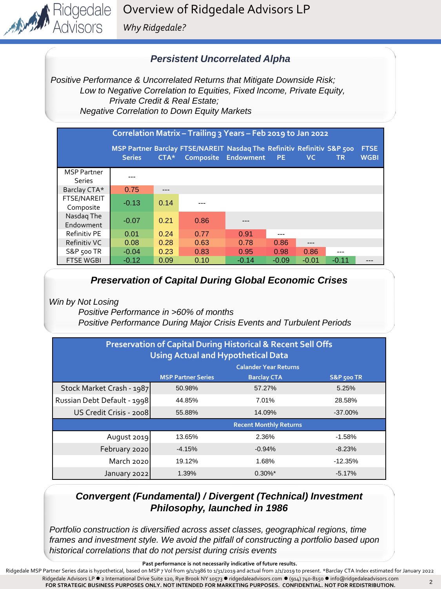*Why Ridgedale?*

### *Persistent Uncorrelated Alpha*

*Positive Performance & Uncorrelated Returns that Mitigate Downside Risk; Low to Negative Correlation to Equities, Fixed Income, Private Equity, Private Credit & Real Estate; Negative Correlation to Down Equity Markets*

|                                     | Correlation Matrix - Trailing 3 Years - Feb 2019 to Jan 2022 |        |                                                                        |                     |           |           |         |                            |  |  |
|-------------------------------------|--------------------------------------------------------------|--------|------------------------------------------------------------------------|---------------------|-----------|-----------|---------|----------------------------|--|--|
|                                     | <b>Series</b>                                                | $CTA*$ | MSP Partner Barclay FTSE/NAREIT Nasdaq The Refinitiv Refinitiv S&P 500 | Composite Endowment | <b>PE</b> | <b>VC</b> | TR.     | <b>FTSE</b><br><b>WGBI</b> |  |  |
| <b>MSP Partner</b><br><b>Series</b> |                                                              |        |                                                                        |                     |           |           |         |                            |  |  |
| Barclay CTA*                        | 0.75                                                         | ---    |                                                                        |                     |           |           |         |                            |  |  |
| <b>FTSE/NAREIT</b><br>Composite     | $-0.13$                                                      | 0.14   |                                                                        |                     |           |           |         |                            |  |  |
| Nasdag The<br>Endowment             | $-0.07$                                                      | 0.21   | 0.86                                                                   |                     |           |           |         |                            |  |  |
| Refinitiv PE                        | 0.01                                                         | 0.24   | 0.77                                                                   | 0.91                | ---       |           |         |                            |  |  |
| Refinitiv VC                        | 0.08                                                         | 0.28   | 0.63                                                                   | 0.78                | 0.86      | ---       |         |                            |  |  |
| S&P 500 TR                          | $-0.04$                                                      | 0.23   | 0.83                                                                   | 0.95                | 0.98      | 0.86      |         |                            |  |  |
| <b>FTSE WGBI</b>                    | $-0.12$                                                      | 0.09   | 0.10                                                                   | $-0.14$             | $-0.09$   | $-0.01$   | $-0.11$ |                            |  |  |

### *Preservation of Capital During Global Economic Crises*

*Win by Not Losing*

Ridgedale

*Positive Performance in >60% of months*

*Positive Performance During Major Crisis Events and Turbulent Periods*

| <b>Preservation of Capital During Historical &amp; Recent Sell Offs</b><br><b>Using Actual and Hypothetical Data</b> |                              |                               |                       |  |  |  |  |  |
|----------------------------------------------------------------------------------------------------------------------|------------------------------|-------------------------------|-----------------------|--|--|--|--|--|
|                                                                                                                      | <b>Calander Year Returns</b> |                               |                       |  |  |  |  |  |
|                                                                                                                      | <b>MSP Partner Series</b>    | <b>Barclay CTA</b>            | S&P <sub>500</sub> TR |  |  |  |  |  |
| Stock Market Crash - 1987                                                                                            | 50.98%                       | 57.27%                        | 5.25%                 |  |  |  |  |  |
| Russian Debt Default - 1998                                                                                          | 44.85%                       | 7.01%                         | 28.58%                |  |  |  |  |  |
| US Credit Crisis - 2008                                                                                              | 55.88%                       | 14.09%                        | $-37.00\%$            |  |  |  |  |  |
|                                                                                                                      |                              | <b>Recent Monthly Returns</b> |                       |  |  |  |  |  |
| August 2019                                                                                                          | 13.65%                       | 2.36%                         | $-1.58%$              |  |  |  |  |  |
| February 2020                                                                                                        | $-4.15%$                     | $-0.94%$                      | $-8.23%$              |  |  |  |  |  |
| March 2020                                                                                                           | 19.12%                       | 1.68%                         | $-12.35%$             |  |  |  |  |  |
| January 2022                                                                                                         | 1.39%                        | $0.30\%$ *                    | $-5.17%$              |  |  |  |  |  |

#### *Convergent (Fundamental) / Divergent (Technical) Investment Philosophy, launched in 1986*

*Portfolio construction is diversified across asset classes, geographical regions, time frames and investment style. We avoid the pitfall of constructing a portfolio based upon historical correlations that do not persist during crisis events*

**Past performance is not necessarily indicative of future results.** 

Ridgedale Advisors LP · 2 International Drive Suite 120, Rye Brook NY 10573 · ridgedaleadvisors.com · (914) 740-8150 · info@ridgedaleadvisors.com **FOR STRATEGIC BUSINESS PURPOSES ONLY. NOT INTENDED FOR MARKETING PURPOSES. CONFIDENTIAL. NOT FOR REDISTRIBUTION.** Ridgedale MSP Partner Series data is hypothetical, based on MSP 7 Vol from 9/1/1986 to 1/31/2019 and actual from 2/1/2019 to present. \*Barclay CTA Index estimated for January 2022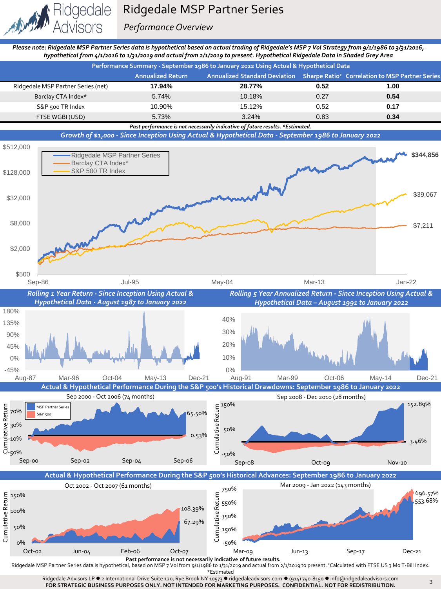

Cumulative Return





**Past performance is not necessarily indicative of future results.** 

Ridgedale MSP Partner Series data is hypothetical, based on MSP 7 Vol from 9/1/1986 to 1/31/2019 and actual from 2/1/2019 to present. <sup>2</sup>Calculated with FTSE US 3 Mo T-Bill Index. \*Estimated

Ridgedale Advisors LP · 2 International Drive Suite 120, Rye Brook NY 10573 · ridgedaleadvisors.com · (914) 740-8150 · info@ridgedaleadvisors.com **FOR STRATEGIC BUSINESS PURPOSES ONLY. NOT INTENDED FOR MARKETING PURPOSES. CONFIDENTIAL. NOT FOR REDISTRIBUTION.**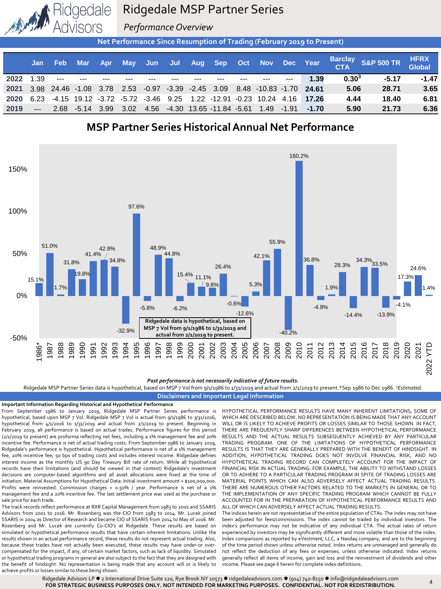

# Ridgedale MSP Partner Series

*Performance Overview*

**Net Performance Since Resumption of Trading (February 2019 to Present)**

|                  | Jan. | <b>Feb</b> Mar  |  |  |  |  | Apr May Jun Jul Aug Sep Oct Nov Dec Year                                       |                |            | Barclay<br>CTA S&P 500 TR | <b>HFRX</b><br>Global |
|------------------|------|-----------------|--|--|--|--|--------------------------------------------------------------------------------|----------------|------------|---------------------------|-----------------------|
| 2022 1.39        |      | $-$             |  |  |  |  |                                                                                | 1.39           | $0.30^{3}$ | $-5.17$                   | $-1.47$               |
|                  |      |                 |  |  |  |  | 2021 3.98 24.46 -1.08 3.78 2.53 -0.97 -3.39 -2.45 3.09 8.48 -10.83 -1.70 24.61 |                | 5.06       | 28.71                     | 3.65                  |
| <b>2020</b> 6.23 |      |                 |  |  |  |  | -4.15 19.12 -3.72 -5.72 -3.46 9.25 1.22 -12.91 -0.23 10.24 4.16 1 <b>7.26</b>  |                | 4.44       | 18.40                     | 6.81                  |
| 2019             |      | 2.68 -5.14 3.99 |  |  |  |  | 3.02  4.56  -4.30  13.65  -11.84  -5.61  1.49                                  | $-1.91 - 1.70$ | 5.90       | 21.73                     | 6.36                  |





*Past performance is not necessarily indicative of future results.* 

Ridgedale MSP Partner Series data is hypothetical, based on MSP 7 Vol from 9/1/1986 to 1/31/2019 and actual from 2/1/2019 to present.\*Sep 1986 to Dec 1986. *3Estimated.* 

**Disclaimers and Important Legal Information**

#### **Important Information Regarding Historical and Hypothetical Performance**

From September 1986 to January 2019, Ridgedale MSP Partner Series performance is hypothetical, based upon MSP 7 Vol. Ridgedale MSP 7 Vol is actual from 9/1/1986 to 3/31/2016, hypothetical from 4/1/2016 to 1/31/2019 and actual from 2/1/2019 to present. Beginning in February 2019, all performance is based on actual trades. Performance figures for this period (2/1/2019 to present) are proforma reflecting net fees, including a 1% management fee and 20% incentive fee. Performance is net of actual trading costs. From September 1986 to January 2019, Ridgedale's performance is hypothetical. Hypothetical performance is net of a 1% management fee, 20% incentive fee, 50 bps of trading costs and includes interest income. Ridgedale defines interest income as the monthly US 90 Day Treasury Bill rate of return. While all hypothetical records have their limitations (and should be viewed in that context) Ridgedale's investment decisions are computer-based algorithms and all asset allocations were fixed at the time of initiation. Material Assumptions for Hypothetical Data: Initial investment amount = \$100,000,000. Profits were reinvested. Commission charges = 0.50% / year. Performance is net of a 1% management fee and a 20% incentive fee. The last settlement price was used as the purchase or sale price for each trade.

The track records reflect performance at RXR Capital Management from 1983 to 2001 and SSARIS Advisors from 2001 to 2016. Mr. Rosenberg was the CIO from 1983 to 2014. Mr. Lucek joined SSARIS in 2004 as Director of Research and became CIO of SSARIS from 2014 to May of 2016. Mr. Rosenberg and Mr. Lucek are currently Co-CIO's at Ridgedale. These results are based on simulated or hypothetical performance results that have certain inherent limitations. Unlike the results shown in an actual performance record, these results do not represent actual trading. Also, because these trades have not actually been executed, these results may have under-or overcompensated for the impact, if any, of certain market factors, such as lack of liquidity. Simulated or hypothetical trading programs in general are also subject to the fact that they are designed with the benefit of hindsight. No representation is being made that any account will or is likely to achieve profits or losses similarto these being shown.

HYPOTHETICAL PERFORMANCE RESULTS HAVE MANY INHERENT LIMITATIONS, SOME OF WHICH ARE DESCRIBED BELOW. NO REPRESENTATION IS BEING MADE THAT ANY ACCOUNT WILL OR IS LIKELY TO ACHIEVE PROFITS OR LOSSES SIMILAR TO THOSE SHOWN. IN FACT, THERE ARE FREQUENTLY SHARP DIFFERENCES BETWEEN HYPOTHETICAL PERFORMANCE RESULTS AND THE ACTUAL RESULTS SUBSEQUENTLY ACHIEVED BY ANY PARTICULAR TRADING PROGRAM. ONE OF THE LIMITATIONS OF HYPOTHETICAL PERFORMANCE RESULTS IS THAT THEY ARE GENERALLY PREPARED WITH THE BENEFIT OF HINDSIGHT. IN ADDITION, HYPOTHETICAL TRADING DOES NOT INVOLVE FINANCIAL RISK, AND NO HYPOTHETICAL TRADING RECORD CAN COMPLETELY ACCOUNT FOR THE IMPACT OF FINANCIAL RISK IN ACTUAL TRADING. FOR EXAMPLE, THE ABILITY TO WITHSTAND LOSSES OR TO ADHERE TO A PARTICULAR TRADING PROGRAM IN SPITE OF TRADING LOSSES ARE MATERIAL POINTS WHICH CAN ALSO ADVERSELY AFFECT ACTUAL TRADING RESULTS. THERE ARE NUMEROUS OTHER FACTORS RELATED TO THE MARKETS IN GENERAL OR TO THE IMPLEMENTATION OF ANY SPECIFIC TRADING PROGRAM WHICH CANNOT BE FULLY ACCOUNTED FOR IN THE PREPARATION OF HYPOTHETICAL PERFORMANCE RESULTS AND ALL OF WHICH CAN ADVERSELY AFFECT ACTUAL TRADING RESULTS.

The indices herein are not representative of the entire population of CTAs. The index may not have been adjusted for fees/commissions. The index cannot be traded by individual investors. The index's performance may not be indicative of any individual CTA. The actual rates of return experienced by investors may be significantly different and more volatile than those of the index. Index comparisons as reported by eVestment, LLC, a Nasdaq company, and are to the beginning of the time period shown unless otherwise noted. Index returns are unmanaged and generally do not reflect the deduction of any fees or expenses, unless otherwise indicated. Index returns generally reflect all items of income, gain and loss and the reinvestment of dividends and other income. Please see page 6 herein for complete index definitions.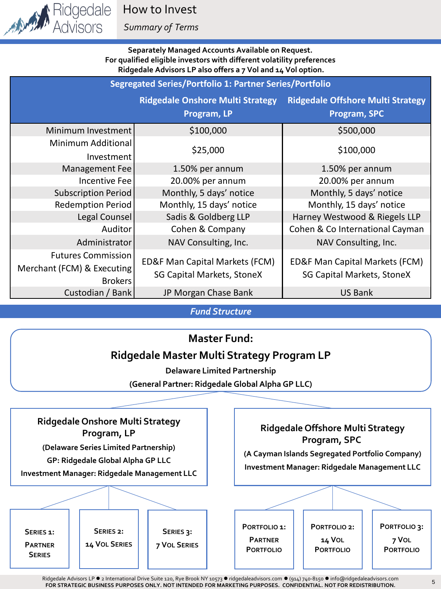How to Invest

Ridgedale

*Summary of Terms*

**Separately Managed Accounts Available on Request. For qualified eligible investors with different volatility preferences Ridgedale Advisors LP also offers a 7 Vol and 14 Vol option.**

| Segregated Series/Portfolio 1: Partner Series/Portfolio                   |                                                              |                                                              |  |  |  |  |  |
|---------------------------------------------------------------------------|--------------------------------------------------------------|--------------------------------------------------------------|--|--|--|--|--|
|                                                                           | <b>Ridgedale Onshore Multi Strategy</b>                      | <b>Ridgedale Offshore Multi Strategy</b>                     |  |  |  |  |  |
|                                                                           | Program, LP                                                  | Program, SPC                                                 |  |  |  |  |  |
| Minimum Investment                                                        | \$100,000                                                    | \$500,000                                                    |  |  |  |  |  |
| Minimum Additional                                                        | \$25,000                                                     | \$100,000                                                    |  |  |  |  |  |
| Investment                                                                |                                                              |                                                              |  |  |  |  |  |
| Management Fee                                                            | 1.50% per annum                                              | 1.50% per annum                                              |  |  |  |  |  |
| <b>Incentive Fee</b>                                                      | 20.00% per annum                                             | 20.00% per annum                                             |  |  |  |  |  |
| Subscription Period                                                       | Monthly, 5 days' notice                                      | Monthly, 5 days' notice                                      |  |  |  |  |  |
| Redemption Period                                                         | Monthly, 15 days' notice                                     | Monthly, 15 days' notice                                     |  |  |  |  |  |
| Legal Counsel                                                             | Sadis & Goldberg LLP                                         | Harney Westwood & Riegels LLP                                |  |  |  |  |  |
| Auditor                                                                   | Cohen & Company                                              | Cohen & Co International Cayman                              |  |  |  |  |  |
| Administrator                                                             | NAV Consulting, Inc.                                         | NAV Consulting, Inc.                                         |  |  |  |  |  |
| <b>Futures Commission</b><br>Merchant (FCM) & Executing<br><b>Brokers</b> | ED&F Man Capital Markets (FCM)<br>SG Capital Markets, StoneX | ED&F Man Capital Markets (FCM)<br>SG Capital Markets, StoneX |  |  |  |  |  |
| Custodian / Bank                                                          | JP Morgan Chase Bank                                         | <b>US Bank</b>                                               |  |  |  |  |  |

*Fund Structure*



**FOR STRATEGIC BUSINESS PURPOSES ONLY. NOT INTENDED FOR MARKETING PURPOSES. CONFIDENTIAL. NOT FOR REDISTRIBUTION.**